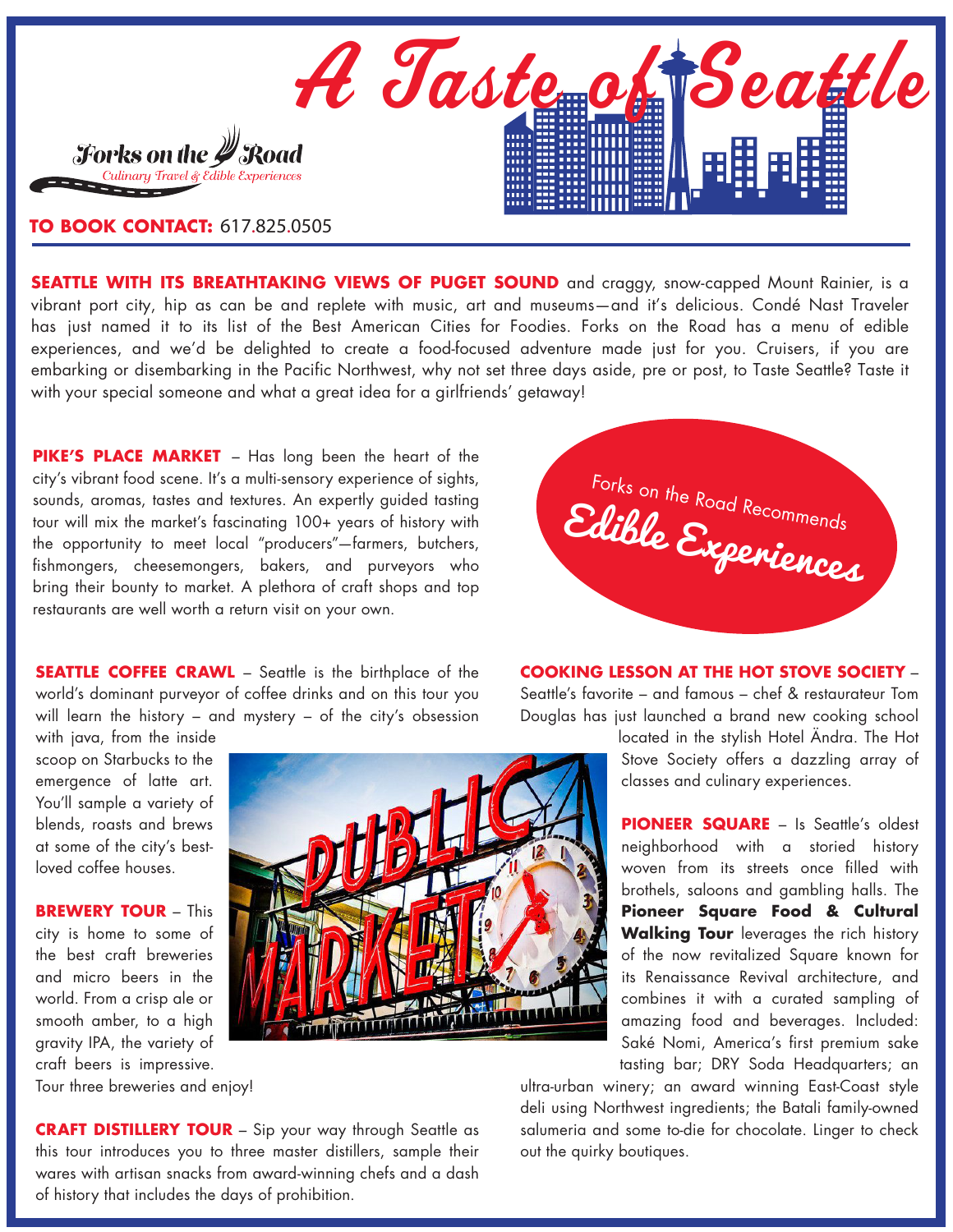

## **TO BOOK CONTACT:** 617.825.0505

**SEATTLE WITH ITS BREATHTAKING VIEWS OF PUGET SOUND** and craggy, snow-capped Mount Rainier, is a vibrant port city, hip as can be and replete with music, art and museums—and it's delicious. Condé Nast Traveler has just named it to its list of the Best American Cities for Foodies. Forks on the Road has a menu of edible experiences, and we'd be delighted to create a food-focused adventure made just for you. Cruisers, if you are embarking or disembarking in the Pacific Northwest, why not set three days aside, pre or post, to Taste Seattle? Taste it with your special someone and what a great idea for a girlfriends' getaway!

**[PIKE'S PLACE MARKET](www.pikeplacemarket.org)** – Has long been the heart of the city's vibrant food scene. It's a multi-sensory experience of sights, sounds, aromas, tastes and textures. An expertly guided tasting tour will mix the market's fascinating 100+ years of history with the opportunity to meet local "producers"—farmers, butchers, fishmongers, cheesemongers, bakers, and purveyors who bring their bounty to market. A plethora of craft shops and top restaurants are well worth a return visit on your own.



**SEATTLE COFFEE CRAWL** – Seattle is the birthplace of the world's dominant purveyor of coffee drinks and on this tour you will learn the history – and mystery – of the city's obsession

with java, from the inside scoop on Starbucks to the emergence of latte art. You'll sample a variety of blends, roasts and brews at some of the city's bestloved coffee houses.

**BREWERY TOUR** – This city is home to some of the best craft breweries and micro beers in the world. From a crisp ale or smooth amber, to a high gravity IPA, the variety of craft beers is impressive.

Tour three breweries and enjoy!



**COOKING LESSON AT THE HOT STOVE SOCIETY** –

Seattle's favorite – and famous – chef & restaurateur Tom Douglas has just launched a brand new cooking school

> located in the stylish Hotel Ändra. The Hot Stove Society offers a dazzling array of classes and culinary experiences.

> **[PIONEER SQUARE](www.Pioneer Square)** – Is Seattle's oldest neighborhood with a storied history woven from its streets once filled with brothels, saloons and gambling halls. The **Pioneer Square Food & Cultural Walking Tour** leverages the rich history of the now revitalized Square known for its Renaissance Revival architecture, and combines it with a curated sampling of amazing food and beverages. Included: Saké Nomi, America's first premium sake tasting bar; DRY Soda Headquarters; an

ultra-urban winery; an award winning East-Coast style deli using Northwest ingredients; the Batali family-owned salumeria and some to-die for chocolate. Linger to check out the quirky boutiques.

**CRAFT DISTILLERY TOUR** – Sip your way through Seattle as this tour introduces you to three master distillers, sample their wares with artisan snacks from award-winning chefs and a dash of history that includes the days of prohibition.